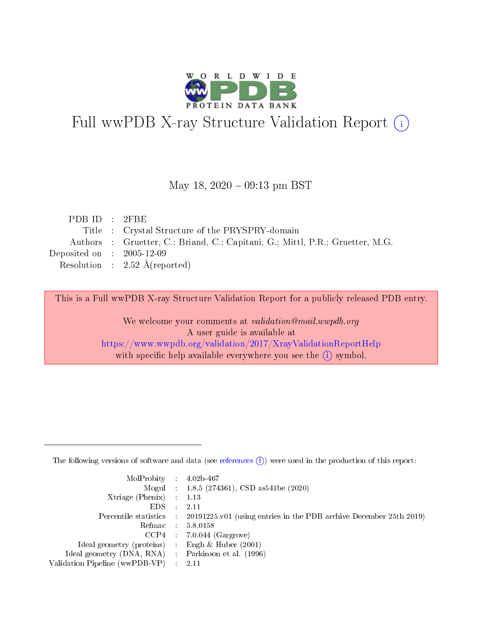

# Full wwPDB X-ray Structure Validation Report (i)

#### May 18,  $2020 - 09:13$  pm BST

| PDB ID : $2FBE$                                                               |
|-------------------------------------------------------------------------------|
| Title : Crystal Structure of the PRYSPRY-domain                               |
| Authors : Gruetter, C.; Briand, C.; Capitani, G.; Mittl, P.R.; Gruetter, M.G. |
| Deposited on : $2005-12-09$                                                   |
| Resolution : $2.52 \text{ Å}$ (reported)                                      |
|                                                                               |

This is a Full wwPDB X-ray Structure Validation Report for a publicly released PDB entry.

We welcome your comments at validation@mail.wwpdb.org A user guide is available at <https://www.wwpdb.org/validation/2017/XrayValidationReportHelp> with specific help available everywhere you see the  $(i)$  symbol.

The following versions of software and data (see [references](https://www.wwpdb.org/validation/2017/XrayValidationReportHelp#references)  $(1)$ ) were used in the production of this report:

| $MolProbability$ : 4.02b-467                        |                                                                                            |
|-----------------------------------------------------|--------------------------------------------------------------------------------------------|
|                                                     | Mogul : 1.8.5 (274361), CSD as 541be (2020)                                                |
| Xtriage (Phenix) $: 1.13$                           |                                                                                            |
| EDS :                                               | -2.11                                                                                      |
|                                                     | Percentile statistics : 20191225.v01 (using entries in the PDB archive December 25th 2019) |
| Refmac 58.0158                                      |                                                                                            |
|                                                     | $CCP4$ 7.0.044 (Gargrove)                                                                  |
| Ideal geometry (proteins) : Engh $\&$ Huber (2001)  |                                                                                            |
| Ideal geometry (DNA, RNA) : Parkinson et al. (1996) |                                                                                            |
| Validation Pipeline (wwPDB-VP) : 2.11               |                                                                                            |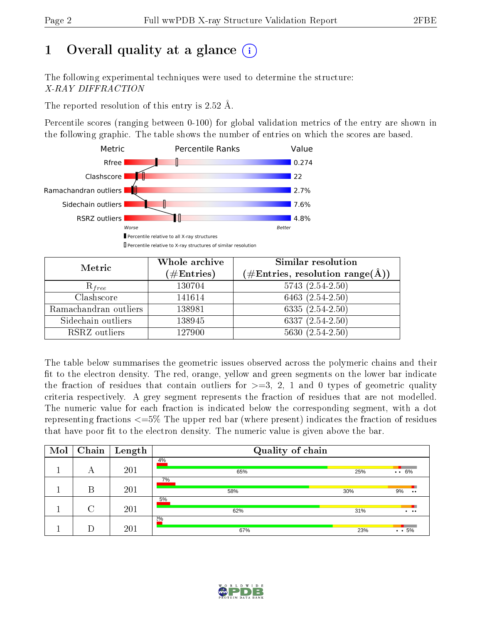## 1 [O](https://www.wwpdb.org/validation/2017/XrayValidationReportHelp#overall_quality)verall quality at a glance  $(i)$

The following experimental techniques were used to determine the structure: X-RAY DIFFRACTION

The reported resolution of this entry is 2.52 Å.

Percentile scores (ranging between 0-100) for global validation metrics of the entry are shown in the following graphic. The table shows the number of entries on which the scores are based.



| Metric                | Whole archive        | Similar resolution                                                     |  |  |
|-----------------------|----------------------|------------------------------------------------------------------------|--|--|
|                       | $(\#\text{Entries})$ | $(\#\text{Entries},\, \text{resolution}\; \text{range}(\textup{\AA}))$ |  |  |
| $R_{free}$            | 130704               | $5743(2.54-2.50)$                                                      |  |  |
| Clashscore            | 141614               | 6463 $(2.54-2.50)$                                                     |  |  |
| Ramachandran outliers | 138981               | $6335(2.54-2.50)$                                                      |  |  |
| Sidechain outliers    | 138945               | $6337(2.54-2.50)$                                                      |  |  |
| RSRZ outliers         | 127900               | $5630(2.54-2.50)$                                                      |  |  |

The table below summarises the geometric issues observed across the polymeric chains and their fit to the electron density. The red, orange, yellow and green segments on the lower bar indicate the fraction of residues that contain outliers for  $>=3, 2, 1$  and 0 types of geometric quality criteria respectively. A grey segment represents the fraction of residues that are not modelled. The numeric value for each fraction is indicated below the corresponding segment, with a dot representing fractions <=5% The upper red bar (where present) indicates the fraction of residues that have poor fit to the electron density. The numeric value is given above the bar.

| Mol | Chain  | $\mathbf{Length}$ | Quality of chain |     |                                     |
|-----|--------|-------------------|------------------|-----|-------------------------------------|
|     | А      | 201               | 4%<br>65%        | 25% | $\cdots 6\%$                        |
|     | В      | 201               | 7%<br>58%        | 30% | 9%<br>$\bullet\bullet$              |
|     | $\cap$ | 201               | 5%<br>62%        | 31% | $\bullet\qquad\bullet\bullet\qquad$ |
|     |        | 201               | $2\%$<br>67%     | 23% | $\cdot \cdot 5\%$                   |

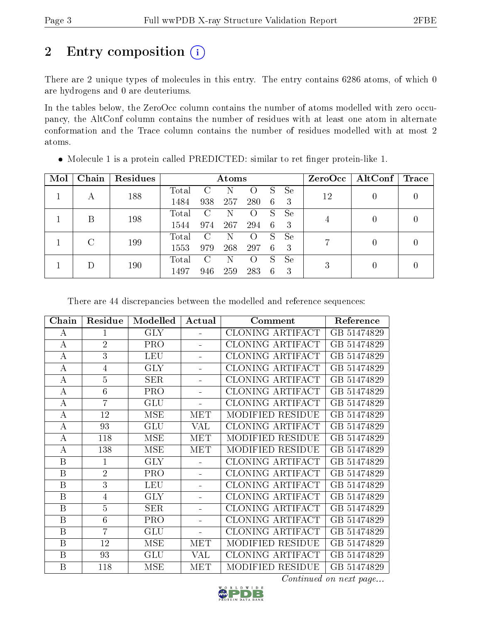## 2 Entry composition (i)

There are 2 unique types of molecules in this entry. The entry contains 6286 atoms, of which 0 are hydrogens and 0 are deuteriums.

In the tables below, the ZeroOcc column contains the number of atoms modelled with zero occupancy, the AltConf column contains the number of residues with at least one atom in alternate conformation and the Trace column contains the number of residues modelled with at most 2 atoms.

| Mol | Chain | <b>Residues</b> | Atoms |                        |     |                    |   |               | $ZeroOcc \mid AltConf \mid$ | $\operatorname{Trace}$ |  |
|-----|-------|-----------------|-------|------------------------|-----|--------------------|---|---------------|-----------------------------|------------------------|--|
|     |       | 188             | Total | $\left( \cdot \right)$ |     | $\left( \ \right)$ | S | Se            | 12                          |                        |  |
|     | А     |                 | 1484  | 938                    | 257 | 280                | 6 | 3             |                             | 0                      |  |
|     | В     | 198             | Total | C                      | N   | $\left( \right)$   | S | <sub>Se</sub> |                             | $\left( \right)$       |  |
|     |       |                 | 1544  | 974                    | 267 | 294                | 6 | 3             |                             |                        |  |
|     | G     |                 | Total | C                      | N   | $\circ$            | S | <b>Se</b>     | 7                           |                        |  |
|     | 199   | 1553            | 979   | 268                    | 297 | 6                  | 3 |               | 0                           |                        |  |
|     |       |                 | Total | С                      | N   | $\left( \right)$   | S | <sub>Se</sub> |                             | 0                      |  |
|     | 190   | 1497            | 946   | 259                    | 283 | 6                  | 3 | 3             |                             |                        |  |

 $\bullet$  Molecule 1 is a protein called PREDICTED: similar to ret finger protein-like 1.

There are 44 discrepancies between the modelled and reference sequences:

| Chain            | Residue        | Modelled   | Actual         | Comment                 | Reference   |
|------------------|----------------|------------|----------------|-------------------------|-------------|
| A                | 1              | <b>GLY</b> |                | CLONING ARTIFACT        | GB 51474829 |
| А                | $\overline{2}$ | <b>PRO</b> | ÷.             | CLONING ARTIFACT        | GB 51474829 |
| $\bf{A}$         | 3              | <b>LEU</b> |                | <b>CLONING ARTIFACT</b> | GB 51474829 |
| $\bf{A}$         | 4              | <b>GLY</b> |                | CLONING ARTIFACT        | GB 51474829 |
| $\bf{A}$         | $\overline{5}$ | SER        | $\equiv$       | CLONING ARTIFACT        | GB 51474829 |
| A                | 6              | PRO        |                | <b>CLONING ARTIFACT</b> | GB 51474829 |
| $\bf{A}$         | $\overline{7}$ | <b>GLU</b> | L.             | CLONING ARTIFACT        | GB 51474829 |
| А                | 12             | <b>MSE</b> | MET            | MODIFIED RESIDUE        | GB 51474829 |
| A                | 93             | GLU        | <b>VAL</b>     | CLONING ARTIFACT        | GB 51474829 |
| $\boldsymbol{A}$ | 118            | <b>MSE</b> | <b>MET</b>     | MODIFIED RESIDUE        | GB 51474829 |
| А                | 138            | <b>MSE</b> | <b>MET</b>     | MODIFIED RESIDUE        | GB 51474829 |
| $\mathbf B$      | $\mathbf{1}$   | <b>GLY</b> |                | CLONING ARTIFACT        | GB 51474829 |
| $\mathbf B$      | $\overline{2}$ | PRO        | ÷              | CLONING ARTIFACT        | GB 51474829 |
| B                | 3              | <b>LEU</b> |                | <b>CLONING ARTIFACT</b> | GB 51474829 |
| B                | $\overline{4}$ | <b>GLY</b> |                | <b>CLONING ARTIFACT</b> | GB 51474829 |
| $\mathbf B$      | $\overline{5}$ | <b>SER</b> | ÷              | CLONING ARTIFACT        | GB 51474829 |
| B                | 6              | PRO        | $\overline{a}$ | CLONING ARTIFACT        | GB 51474829 |
| $\boldsymbol{B}$ | $\overline{7}$ | GLU        | $\equiv$       | CLONING ARTIFACT        | GB 51474829 |
| $\mathbf{B}$     | 12             | <b>MSE</b> | <b>MET</b>     | MODIFIED RESIDUE        | GB 51474829 |
| B                | 93             | GLU        | VAL            | CLONING ARTIFACT        | GB 51474829 |
| B                | 118            | <b>MSE</b> | <b>MET</b>     | MODIFIED RESIDUE        | GB 51474829 |

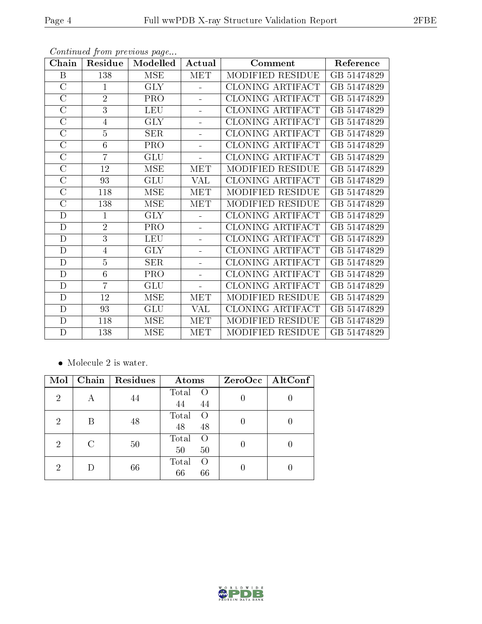| Chain              | Residue        | Modelled                  | Actual                  | Comment                 |             |
|--------------------|----------------|---------------------------|-------------------------|-------------------------|-------------|
| B                  | 138            | <b>MSE</b>                | <b>MET</b>              | MODIFIED RESIDUE        | GB 51474829 |
| $\overline{C}$     | $\mathbf{1}$   | <b>GLY</b>                | L.                      | CLONING ARTIFACT        | GB 51474829 |
| $\overline{C}$     | $\overline{2}$ | PRO                       |                         | CLONING ARTIFACT        | GB 51474829 |
| $\mathcal{C}$      | 3              | <b>LEU</b>                | $\overline{a}$          | CLONING ARTIFACT        | GB 51474829 |
| $\overline{C}$     | $\overline{4}$ | <b>GLY</b>                |                         | <b>CLONING ARTIFACT</b> | GB 51474829 |
| $\mathcal{C}$      | $\overline{5}$ | <b>SER</b>                | à,                      | <b>CLONING ARTIFACT</b> | GB 51474829 |
| $\overline{C}$     | 6              | PRO                       |                         | <b>CLONING ARTIFACT</b> | GB 51474829 |
| $\overline{\rm C}$ | $\overline{7}$ | GLU                       |                         | <b>CLONING ARTIFACT</b> | GB 51474829 |
| $\overline{C}$     | 12             | <b>MSE</b>                | MET                     | MODIFIED RESIDUE        | GB 51474829 |
| $\overline{\rm C}$ | 93             | $\overline{\mathrm{GLU}}$ | $\overline{\text{VAL}}$ | <b>CLONING ARTIFACT</b> | GB 51474829 |
| $\mathcal C$       | 118            | <b>MSE</b>                | <b>MET</b>              | MODIFIED RESIDUE        | GB 51474829 |
| $\overline{C}$     | 138            | <b>MSE</b>                | <b>MET</b>              | MODIFIED RESIDUE        | GB 51474829 |
| D                  | $\mathbf{1}$   | <b>GLY</b>                |                         | CLONING ARTIFACT        | GB 51474829 |
| $\mathbf D$        | $\overline{2}$ | PRO                       |                         | <b>CLONING ARTIFACT</b> | GB 51474829 |
| $\mathbf D$        | $\overline{3}$ | <b>LEU</b>                |                         | <b>CLONING ARTIFACT</b> | GB 51474829 |
| $\mathbf D$        | 4              | <b>GLY</b>                |                         | <b>CLONING ARTIFACT</b> | GB 51474829 |
| $\mathbf D$        | $\overline{5}$ | $\overline{\text{SER}}$   |                         | <b>CLONING ARTIFACT</b> | GB 51474829 |
| $\mathbf D$        | 6              | PRO                       | L,                      | CLONING ARTIFACT        | GB 51474829 |
| $\mathbf D$        | $\overline{7}$ | <b>GLU</b>                |                         | CLONING ARTIFACT        | GB 51474829 |
| $\mathbf D$        | 12             | <b>MSE</b>                | <b>MET</b>              | MODIFIED RESIDUE        | GB 51474829 |
| D                  | 93             | <b>GLU</b>                | VAL                     | CLONING ARTIFACT        | GB 51474829 |
| D                  | 118            | <b>MSE</b>                | <b>MET</b>              | MODIFIED RESIDUE        | GB 51474829 |
| $\mathbf D$        | 138            | MSE                       | <b>MET</b>              | MODIFIED RESIDUE        | GB 51474829 |

 $\bullet\,$  Molecule 2 is water.

| Mol |   | Chain   Residues | Atoms                                 | $ZeroOcc$   AltConf |
|-----|---|------------------|---------------------------------------|---------------------|
| 2   |   | 44               | Total<br>$\left($<br>44<br>44         |                     |
| 2   | В | 48               | Total<br>$\bigcap$<br>48<br>48        |                     |
| 2   |   | 50               | Total<br>$\left( \right)$<br>50<br>50 |                     |
| 2   |   | 66               | Total<br>$\left( \right)$<br>66<br>66 |                     |



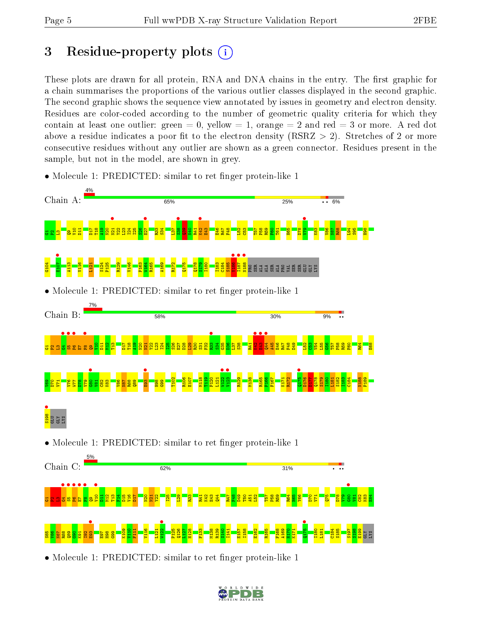$\frac{5}{85}$  $\frac{8}{2}$  $\frac{1}{8}$ R88  $\frac{8}{8}$  $\frac{8}{3}$  $\frac{1}{8}$ I92  $\overline{\mathbf{E}}$ H98  $\frac{9}{2}$ K109  $\frac{9110}{2}$  $\frac{11}{11}$ V116 L121

## 3 Residue-property plots  $(i)$

These plots are drawn for all protein, RNA and DNA chains in the entry. The first graphic for a chain summarises the proportions of the various outlier classes displayed in the second graphic. The second graphic shows the sequence view annotated by issues in geometry and electron density. Residues are color-coded according to the number of geometric quality criteria for which they contain at least one outlier: green  $= 0$ , yellow  $= 1$ , orange  $= 2$  and red  $= 3$  or more. A red dot above a residue indicates a poor fit to the electron density ( $\text{RSRZ} > 2$ ). Stretches of 2 or more consecutive residues without any outlier are shown as a green connector. Residues present in the sample, but not in the model, are shown in grey.



• Molecule 1: PREDICTED: similar to ret finger protein-like 1

• Molecule 1: PREDICTED: similar to ret finger protein-like 1

P125 Q126  $\frac{127}{1}$ H128 F133 M138 R139  $\frac{9}{21}$ I141 E157 I158 E162 R165 F168 A169  $\frac{1}{2}$ K171



I180 L181 C184 S185 S197 S198 E199 GLY LYS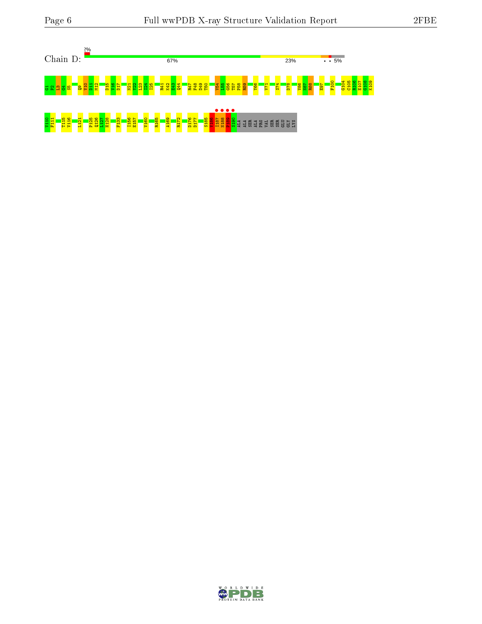

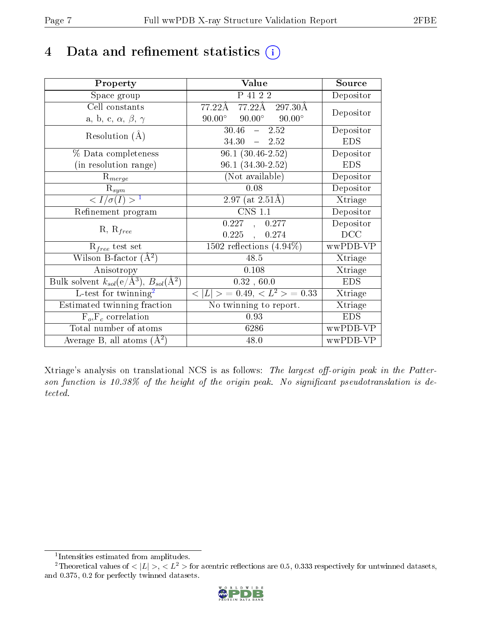### 4 Data and refinement statistics  $(i)$

| Property                                                                | Value                                           | Source     |
|-------------------------------------------------------------------------|-------------------------------------------------|------------|
| Space group                                                             | P 41 2 2                                        | Depositor  |
| Cell constants                                                          | 77.22Å 77.22Å 297.30Å                           | Depositor  |
| a, b, c, $\alpha$ , $\beta$ , $\gamma$                                  | $90.00^{\circ}$ $90.00^{\circ}$ $90.00^{\circ}$ |            |
| Resolution $(A)$                                                        | $30.46 - 2.52$                                  | Depositor  |
|                                                                         | $34.30 - 2.52$                                  | <b>EDS</b> |
| % Data completeness                                                     | $96.1(30.46-2.52)$                              | Depositor  |
| (in resolution range)                                                   | $96.1 (34.30 - 2.52)$                           | <b>EDS</b> |
| $R_{merge}$                                                             | (Not available)                                 | Depositor  |
| $\mathrm{R}_{sym}$                                                      | 0.08                                            | Depositor  |
| $\langle I/\sigma(I) \rangle^{-1}$                                      | $2.97$ (at $2.51\text{\AA}$ )                   | Xtriage    |
| Refinement program                                                      | <b>CNS 1.1</b>                                  | Depositor  |
| $R, R_{free}$                                                           | 0.227, 0.277                                    | Depositor  |
|                                                                         | $0.225$ ,<br>0.274                              | DCC        |
| $R_{free}$ test set                                                     | $1502$ reflections $(4.94\%)$                   | wwPDB-VP   |
| Wilson B-factor $(A^2)$                                                 | 48.5                                            | Xtriage    |
| Anisotropy                                                              | 0.108                                           | Xtriage    |
| Bulk solvent $k_{sol}(\mathrm{e}/\mathrm{A}^3),\,B_{sol}(\mathrm{A}^2)$ | 0.32, 60.0                                      | <b>EDS</b> |
| L-test for twinning <sup>2</sup>                                        | $< L >$ = 0.49, $< L2$ = 0.33                   | Xtriage    |
| Estimated twinning fraction                                             | No twinning to report.                          | Xtriage    |
| $F_o, F_c$ correlation                                                  | 0.93                                            | <b>EDS</b> |
| Total number of atoms                                                   | 6286                                            | wwPDB-VP   |
| Average B, all atoms $(A^2)$                                            | 48.0                                            | wwPDB-VP   |

Xtriage's analysis on translational NCS is as follows: The largest off-origin peak in the Patterson function is  $10.38\%$  of the height of the origin peak. No significant pseudotranslation is detected.

<sup>&</sup>lt;sup>2</sup>Theoretical values of  $\langle |L| \rangle$ ,  $\langle L^2 \rangle$  for acentric reflections are 0.5, 0.333 respectively for untwinned datasets, and 0.375, 0.2 for perfectly twinned datasets.



<span id="page-6-1"></span><span id="page-6-0"></span><sup>1</sup> Intensities estimated from amplitudes.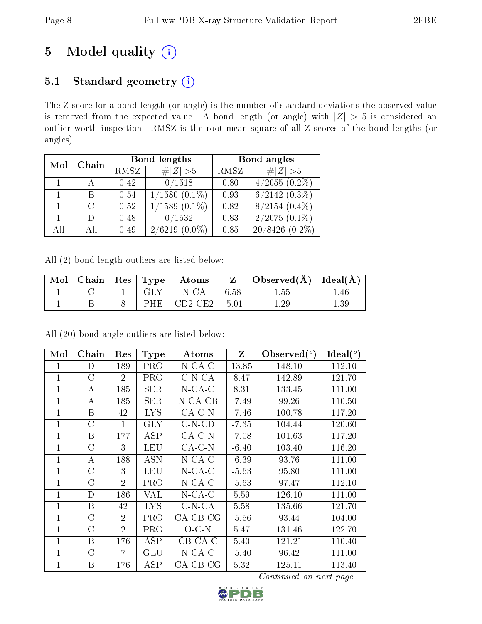## 5 Model quality  $(i)$

### 5.1 Standard geometry (i)

The Z score for a bond length (or angle) is the number of standard deviations the observed value is removed from the expected value. A bond length (or angle) with  $|Z| > 5$  is considered an outlier worth inspection. RMSZ is the root-mean-square of all Z scores of the bond lengths (or angles).

| Mol | Chain         |      | <b>Bond lengths</b> | Bond angles |                             |  |
|-----|---------------|------|---------------------|-------------|-----------------------------|--|
|     |               | RMSZ | $\# Z  > 5$         | RMSZ        | $\# Z  > 5$                 |  |
|     |               | 0.42 | 0/1518              | 0.80        | $4/2\overline{055 (0.2\%)}$ |  |
|     | B             | 0.54 | $1/1580(0.1\%)$     | 0.93        | $6/2142$ $(0.3\%)$          |  |
|     | $\mathcal{C}$ | 0.52 | $1/1589$ $(0.1\%)$  | 0.82        | $8/2154$ $(0.4\%)$          |  |
|     | D             | 0.48 | 0/1532              | 0.83        | $2/2075(0.1\%)$             |  |
| All | АH            | 0.49 | 2/6219<br>$(0.0\%)$ | 0.85        | $20/8426(0.2\%)$            |  |

All (2) bond length outliers are listed below:

| Mol | Chain | $\mid$ Res $\mid$ Type | Atoms     |         | Observed( $\AA$ )   Ideal( $\AA$ ) |     |
|-----|-------|------------------------|-----------|---------|------------------------------------|-----|
|     |       |                        | $N$ -CA   | 6.58    | 1.55.                              | .46 |
|     |       | PHE                    | $CD2-CE2$ | $-5.01$ | $1.29\,$                           | .39 |

All (20) bond angle outliers are listed below:

| Mol            | Chain          | $\operatorname{Res}% \left( \mathcal{N}\right) \equiv\operatorname{Res}(\mathcal{N}_{0})\cap\mathcal{N}_{1}$ | Type       | <b>Atoms</b>               | $Z_{\rm}$ | $\text{Observed}(^o)$ | Ideal(°) |
|----------------|----------------|--------------------------------------------------------------------------------------------------------------|------------|----------------------------|-----------|-----------------------|----------|
| 1              | D              | 189                                                                                                          | PRO        | $N$ -CA-C                  | 13.85     | 148.10                | 112.10   |
| 1              | $\rm C$        | $\overline{2}$                                                                                               | PRO        | $C-N-CA$                   | 8.47      | 142.89                | 121.70   |
| $\overline{1}$ | А              | 185                                                                                                          | SER        | $N$ -CA-C                  | 8.31      | 133.45                | 111.00   |
| $\mathbf{1}$   | А              | 185                                                                                                          | SER        | $N$ -CA-CB                 | $-7.49$   | 99.26                 | 110.50   |
| 1              | B              | 42                                                                                                           | LYS        | $CA-C-N$                   | $-7.46$   | 100.78                | 117.20   |
| 1              | $\rm C$        | 1                                                                                                            | <b>GLY</b> | $C-N-CD$                   | $-7.35$   | 104.44                | 120.60   |
| 1              | B              | 177                                                                                                          | ASP        | $CA-C-N$                   | $-7.08$   | 101.63                | 117.20   |
| $\mathbf{1}$   | C              | 3                                                                                                            | LEU        | $CA-C-N$                   | $-6.40$   | 103.40                | 116.20   |
| $\mathbf{1}$   | А              | 188                                                                                                          | <b>ASN</b> | $N$ -CA-C                  | $-6.39$   | 93.76                 | 111.00   |
| 1              | $\rm C$        | 3                                                                                                            | LEU        | $N$ -CA-C                  | $-5.63$   | 95.80                 | 111.00   |
| $\mathbf 1$    | $\overline{C}$ | $\overline{2}$                                                                                               | PRO        | $N$ -CA-C                  | $-5.63$   | 97.47                 | 112.10   |
| $\mathbf 1$    | D              | 186                                                                                                          | VAL        | $N$ -CA-C                  | 5.59      | 126.10                | 111.00   |
| 1              | B              | 42                                                                                                           | <b>LYS</b> | $C-N-CA$                   | 5.58      | 135.66                | 121.70   |
| 1              | $\mathcal{C}$  | $\overline{2}$                                                                                               | PRO        | $CA-CB-CG$                 | $-5.56$   | 93.44                 | 104.00   |
| 1              | $\rm C$        | $\overline{2}$                                                                                               | PRO        | $O-C-N$                    | 5.47      | 131.46                | 122.70   |
| 1              | B              | 176                                                                                                          | ASP        | $CB-CA-C$                  | 5.40      | 121.21                | 110.40   |
| 1              | $\overline{C}$ | 7                                                                                                            | GLU        | $\overline{\text{N-CA-C}}$ | $-5.40$   | 96.42                 | 111.00   |
| 1              | B              | 176                                                                                                          | ASP        | $CA$ - $CB$ - $CG$         | 5.32      | 125.11                | 113.40   |

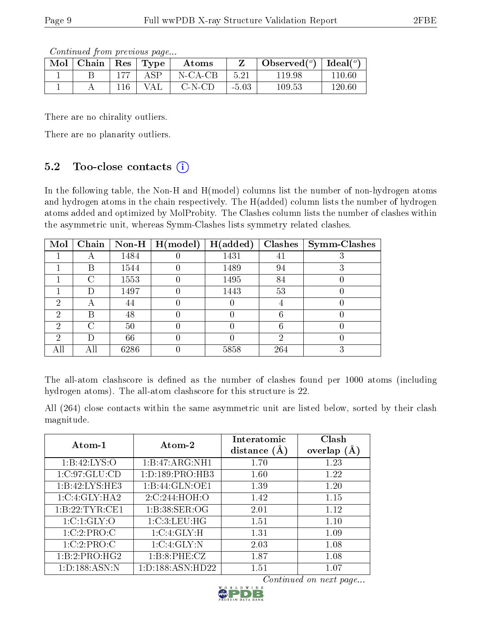Continued from previous page...

| Mol | Chain |     | $\vert$ Res $\vert$ Type | Atoms   |         | Observed $(^\circ)$ | Ideal $(°)$ |
|-----|-------|-----|--------------------------|---------|---------|---------------------|-------------|
|     |       | 177 | A SP                     | N-CA-CB | 5.21    | 119.98              | 110.60      |
|     |       | 116 | VAL                      | C-N-CD  | $-5.03$ | 109.53              | 120.60      |

There are no chirality outliers.

There are no planarity outliers.

### 5.2 Too-close contacts  $(i)$

In the following table, the Non-H and H(model) columns list the number of non-hydrogen atoms and hydrogen atoms in the chain respectively. The H(added) column lists the number of hydrogen atoms added and optimized by MolProbity. The Clashes column lists the number of clashes within the asymmetric unit, whereas Symm-Clashes lists symmetry related clashes.

| Mol           | Chain              |      | Non-H $\mid$ H(model) | H(added) | <b>Clashes</b> | <b>Symm-Clashes</b> |
|---------------|--------------------|------|-----------------------|----------|----------------|---------------------|
|               |                    | 1484 |                       | 1431     |                |                     |
|               | В                  | 1544 |                       | 1489     | 94             |                     |
|               | $\left( \ \right)$ | 1553 |                       | 1495     | 84             |                     |
|               | Ð                  | 1497 |                       | 1443     | 53             |                     |
| 2             | А                  | 44   |                       |          |                |                     |
| 2             | В                  | 48   |                       |          |                |                     |
| $\mathcal{D}$ | C                  | 50   |                       |          |                |                     |
| 2             |                    | 66   |                       |          | ٠,             |                     |
|               | Αll                | 6286 |                       | 5858     | 264            | 3                   |

The all-atom clashscore is defined as the number of clashes found per 1000 atoms (including hydrogen atoms). The all-atom clashscore for this structure is 22.

All (264) close contacts within the same asymmetric unit are listed below, sorted by their clash magnitude.

| Atom- $1$         | Atom-2               | Interatomic<br>distance $(A)$ | Clash<br>overlap $(A)$ |
|-------------------|----------------------|-------------------------------|------------------------|
| 1:B:42:LYS:O      | 1:B:47:ARG:NH1       | 1.70                          | 1.23                   |
| 1:C:97:GLU:CD     | 1: D: 189: PRO: HB3  | 1.60                          | 1.22                   |
| 1:B:42:LYS:HE3    | 1:B:44:GLN:OE1       | 1.39                          | 1.20                   |
| 1:C:4:GLY:HA2     | 2:C:244:HOH:O        | 1.42                          | 1.15                   |
| 1:B:22:TYR:CE1    | 1:B:38:SER:OG        | 2.01                          | 1.12                   |
| 1: C: 1: GLY: O   | 1:C:3:LEU:HG         | 1.51                          | 1.10                   |
| 1:C:2:PRO:C       | 1:C:4:GLY:H          | 1.31                          | 1.09                   |
| 1:C:2:PRO:C       | 1:C:4:GLY:N          | 2.03                          | 1.08                   |
| 1:B:2:PRO:HG2     | 1:B:8:PHE:CZ         | 1.87                          | 1.08                   |
| 1: D: 188: ASN: N | 1: D: 188: ASN: HD22 | 1.51                          | $1.07\,$               |

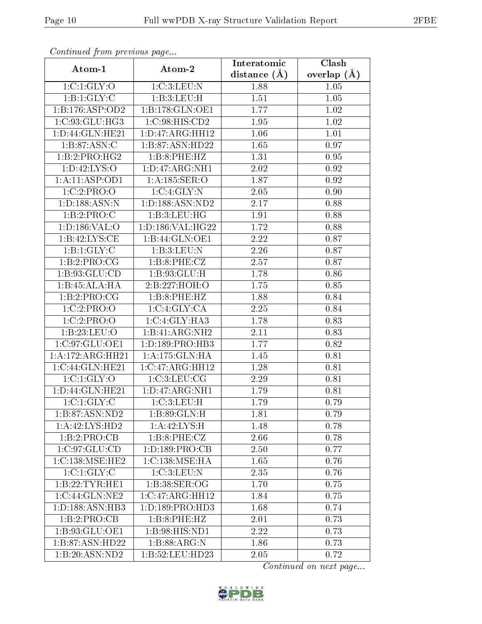|                          | Continuatu from previous page |                    | $\overline{\text{Clash}}$ |
|--------------------------|-------------------------------|--------------------|---------------------------|
| Atom-1                   | Atom-2                        | distance $(\AA)$   | overlap $(A)$             |
| 1:C:1:GLY:O              | 1:C:3:LEU:N                   | 1.88               | 1.05                      |
| 1:B:1:GLY:C              | 1:B:3:LEU:H                   | 1.51               | 1.05                      |
| 1:B:176:ASP:OD2          | 1:B:178:GLN:OE1               | 1.77               | 1.02                      |
| 1:C:93:GLU:HG3           | 1:C:98:HIS:CD2                | 1.95               | 1.02                      |
| 1:D:44:GLN:HE21          | 1:D:47:ARG:HH12               | 1.06               | 1.01                      |
| 1:B:87:ASN:C             | 1:B:87:ASN:HD22               | 1.65               | 0.97                      |
| 1:B:2:PRO:HG2            | 1:B:8:PHE:HZ                  | 1.31               | $0.95\,$                  |
| 1: D: 42: LYS: O         | 1: D: 47: ARG: NH1            | 2.02               | 0.92                      |
| 1:A:11:ASP:OD1           | 1:A:185:SER:O                 | 1.87               | 0.92                      |
| 1:C:2:PRO:O              | 1:C:4:GLY:N                   | 2.05               | 0.90                      |
| 1:D:188:ASN:N            | 1: D: 188: ASN: ND2           | 2.17               | 0.88                      |
| 1:B:2:PRO:C              | 1:B:3:LEU:HG                  | 1.91               | 0.88                      |
| 1: D: 186: VAL: O        | 1: D: 186: VAL: HG22          | 1.72               | 0.88                      |
| 1:B:42:LYS:CE            | 1:B:44:GLN:OE1                | 2.22               | 0.87                      |
| $1:B:1:GLY:\overline{C}$ | 1:B:3:LEU:N                   | 2.26               | 0.87                      |
| 1:B:2:PRO:CG             | 1:B:8:PHE:CZ                  | 2.57               | 0.87                      |
| 1:B:93:GLU:CD            | 1: B:93: GLU: H               | 1.78               | 0.86                      |
| 1:B:45:ALA:HA            | 2:B:227:HOH:O                 | 1.75               | 0.85                      |
| 1:B:2:PRO:CG             | 1:B:8:PHE:HZ                  | 1.88               | 0.84                      |
| 1:C:2:PRO:O              | 1:C:4:GLY:CA                  | 2.25               | 0.84                      |
| 1:C:2:PRO:O              | 1: C: 4: GLY: HA3             | 1.78               | 0.83                      |
| 1:B:23:LEU:O             | 1:B:41:ARG:NH2                | 2.11               | 0.83                      |
| 1:C:97:GLU:OE1           | 1: D: 189: PRO: HB3           | 1.77               | 0.82                      |
| 1:A:172:ARG:HH21         | 1:A:175:GLN:HA                | 1.45               | 0.81                      |
| 1:C:44:GLN:HE21          | 1:C:47:ARG:HH12               | 1.28               | 0.81                      |
| 1:C:1:GLY:O              | 1:C:3:LEU:CG                  | $\overline{2}.29$  | 0.81                      |
| 1:D:44:GLN:HE21          | 1: D: 47: ARG: NH1            | 1.79               | 0.81                      |
| 1:C:1:GLY:C              | 1:C:3:LEU:H                   | 1.79               | 0.79                      |
| 1:B:87:ASN:ND2           | 1:B:89:GLN:H                  | $\overline{1}$ .81 | 0.79                      |
| 1:A:42:LYS:HD2           | 1:A:42:LYS:H                  | 1.48               | 0.78                      |
| 1:B:2:PRO:CB             | 1:B:8:PHE:CZ                  | 2.66               | 0.78                      |
| 1:C:97:GLU:CD            | 1: D: 189: PRO: CB            | 2.50               | 0.77                      |
| 1:C:138:MSE:HE2          | 1:C:138:MSE:HA                | 1.65               | 0.76                      |
| 1:C:1:GLY:C              | 1:C:3:LEU:N                   | 2.35               | 0.76                      |
| 1:B:22:TYR:HE1           | 1:B:38:SER:OG                 | 1.70               | 0.75                      |
| 1:C:44:GLN:NE2           | 1:C:47:ARG:HH12               | 1.84               | 0.75                      |
| 1:D:188:ASN:HB3          | 1: D: 189: PRO: HD3           | 1.68               | 0.74                      |
| 1:B:2:PRO:CB             | 1:B:8:PHE:HZ                  | 2.01               | 0.73                      |
| 1:B:93:GLU:OE1           | 1:B:98:HIS:ND1                | 2.22               | 0.73                      |
| 1:B:87:ASN:HD22          | 1:B:88:ARG:N                  | 1.86               | 0.73                      |
| 1:B:20:ASN:ND2           | 1:B:52:LEU:HD23               | 2.05               | 0.72                      |

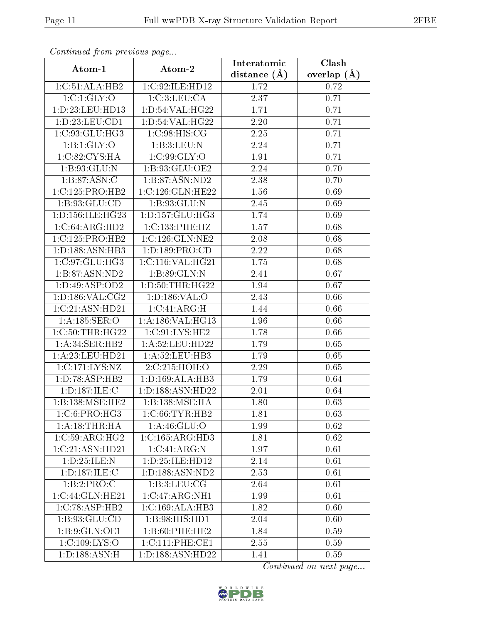| Continuati pont previous page         |                                     | Interatomic      | Clash         |
|---------------------------------------|-------------------------------------|------------------|---------------|
| Atom-1                                | Atom-2                              | distance $(\AA)$ | overlap $(A)$ |
| 1:C:51:ALA:HB2                        | 1:C:92:ILE:HD12                     | 1.72             | 0.72          |
| 1:C:1:GLY:O                           | 1:C:3:LEU:CA                        | 2.37             | 0.71          |
| 1:D:23:LEU:HD13                       | 1: D:54: VAL:HG22                   | 1.71             | 0.71          |
| 1:D:23:LEU:CD1                        | 1: D:54: VAL:HG22                   | 2.20             | 0.71          |
| 1:C:93:GLU:HG3                        | 1:C:98:HIS:CG                       | 2.25             | 0.71          |
| 1:B:1:GLY:O                           | 1:B:3:LEU:N                         | 2.24             | 0.71          |
| 1:C:82:CYS:HA                         | 1:C:99:GLY:O                        | 1.91             | 0.71          |
| 1:B:93:GLU:N                          | 1:B:93:GLU:OE2                      | 2.24             | 0.70          |
| 1:B:87:ASN:C                          | 1: B:87: ASN:ND2                    | 2.38             | 0.70          |
| 1:C:125:PRO:HB2                       | 1:C:126:GLN:HE22                    | 1.56             | 0.69          |
| 1: B: 93: GLU: CD                     | 1:B:93:GLU:N                        | 2.45             | 0.69          |
| 1: D: 156: ILE: HG23                  | 1: D: 157: GLU: HG3                 | 1.74             | 0.69          |
| 1:C:64:ARG:HD2                        | 1:C:133:PHE:HZ                      | 1.57             | 0.68          |
| $1:C:125:P\overline{\mathrm{RO:HB2}}$ | $1:C:126:GLN:\overline{\text{NE2}}$ | 2.08             | 0.68          |
| 1:D:188:ASN:HB3                       | 1: D: 189: PRO: CD                  | 2.22             | 0.68          |
| 1:C:97:GLU:HG3                        | 1:C:116:VAL:HG21                    | 1.75             | 0.68          |
| 1:B:87:ASN:ND2                        | 1:B:89:GLN:N                        | 2.41             | 0.67          |
| 1: D: 49: ASP: OD2                    | 1: D:50:THR:HG22                    | 1.94             | 0.67          |
| 1: D: 186: VAL: CG2                   | 1:D:186:VAL:O                       | 2.43             | 0.66          |
| 1:C:21:ASN:HD21                       | 1:C:41:ARG:H                        | 1.44             | 0.66          |
| 1:A:185:SER:O                         | 1:A:186:VAL:HG13                    | 1.96             | 0.66          |
| 1:C:50:THR:HG22                       | 1:C:91:LYS:HE2                      | 1.78             | 0.66          |
| 1: A:34: SER: HB2                     | 1: A:52: LEU: HD22                  | 1.79             | 0.65          |
| 1: A:23: LEU:HD21                     | 1: A:52:LEU:HB3                     | 1.79             | 0.65          |
| 1:C:171:LYS:NZ                        | 2:C:215:HOH:O                       | 2.29             | 0.65          |
| 1: D: 78: ASP: HB2                    | 1:D:169:ALA:HB3                     | 1.79             | 0.64          |
| 1: D: 187: ILE:C                      | 1:D:188:ASN:HD22                    | 2.01             | 0.64          |
| 1:B:138:MSE:HE2                       | 1:B:138:MSE:HA                      | 1.80             | 0.63          |
| $1:C:6:PRO:\overline{HG3}$            | 1:C:66:TYR:HB2                      | 1.81             | 0.63          |
| 1:A:18:THR:HA                         | 1: A:46: GLU:O                      | 1.99             | 0.62          |
| $1:C:59:A\overline{RG:HG2}$           | $1:C:165:ARG:\overline{HD3}$        | 1.81             | 0.62          |
| 1:C:21:ASN:HD21                       | 1:C:41:ARG:N                        | 1.97             | 0.61          |
| 1:D:25:ILE:N                          | 1: D: 25: ILE: HD12                 | 2.14             | 0.61          |
| 1: D: 187: ILE:C                      | 1:D:188:ASN:ND2                     | 2.53             | 0.61          |
| 1:B:2:PRO:C                           | 1: B:3: LEU: CG                     | 2.64             | 0.61          |
| 1:C:44:GLN:HE21                       | 1:C:47:ARG:NH1                      | 1.99             | 0.61          |
| 1:C:78:ASP:HB2                        | 1:C:169:ALA:HB3                     | 1.82             | 0.60          |
| 1: B:93: GLU:CD                       | 1:B:98:HIS:HD1                      | 2.04             | 0.60          |
| 1: B: 9: GLN: OE1                     | 1:B:60:PHE:HE2                      | 1.84             | 0.59          |
| 1: C: 109: LYS: O                     | 1:C:111:PHE:CE1                     | 2.55             | 0.59          |
| 1: D: 188: ASN:H                      | 1:D:188:ASN:HD22                    | 1.41             | 0.59          |

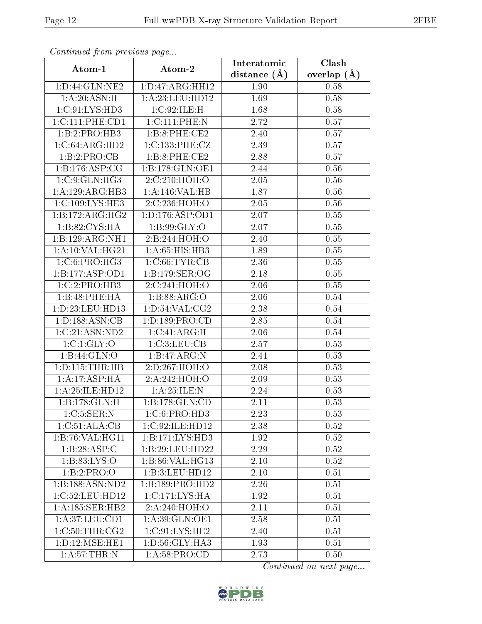| Comunaca jiom previous page |                     | Interatomic    | Clash           |
|-----------------------------|---------------------|----------------|-----------------|
| Atom-1                      | Atom-2              | distance $(A)$ | overlap $(\AA)$ |
| 1: D: 44: GLN: NE2          | 1: D: 47: ARG: HH12 | 1.90           | 0.58            |
| 1:A:20:ASN:H                | 1: A:23: LEU: HD12  | 1.69           | 0.58            |
| 1:C:91:LYS:HD3              | 1:C:92:ILE:H        | 1.68           | 0.58            |
| 1:C:111:PHE:CD1             | 1:C:111:PHE:N       | 2.72           | 0.57            |
| 1:B:2:PRO:HB3               | 1:B:8:PHE:CE2       | 2.40           | 0.57            |
| 1:C:64:ARG:HD2              | 1:C:133:PHE:CZ      | 2.39           | 0.57            |
| 1:B:2:PRO:CB                | 1:B:8:PHE:CE2       | 2.88           | 0.57            |
| 1:B:176:ASP:CC              | 1:B:178:GLN:OE1     | 2.44           | 0.56            |
| 1:C:9:GLN:HG3               | 2:C:210:HOH:O       | 2.05           | 0.56            |
| 1:A:129:ARG:HB3             | 1:A:146:VAL:HB      | 1.87           | 0.56            |
| 1:C:109:LYS:HE3             | 2:C:236:HOH:O       | 2.05           | 0.56            |
| 1:B:172:ARG:HG2             | 1: D: 176: ASP: OD1 | 2.07           | 0.55            |
| 1: B:82: CYS:HA             | 1:B:99:GLY:O        | 2.07           | 0.55            |
| 1:B:129:ARG:NH1             | 2:B:244:HOH:O       | 2.40           | 0.55            |
| 1: A:10: VAL:HG21           | 1:A:65:HIS:HB3      | 1.89           | 0.55            |
| 1: C:6: PRO:HG3             | 1:C:66:TYR:CB       | 2.36           | 0.55            |
| 1:B:177:ASP:OD1             | 1:B:179:SER:OG      | 2.18           | 0.55            |
| $1:C:2:PRO:H\overline{B3}$  | 2:C:241:HOH:O       | 2.06           | 0.55            |
| 1:B:48:PHE:HA               | 1:B:88:ARG:O        | 2.06           | 0.54            |
| 1:D:23:LEU:HD13             | 1: D: 54: VAL: CG2  | 2.38           | 0.54            |
| 1: D: 188: ASN: CB          | 1: D: 189: PRO: CD  | 2.85           | 0.54            |
| 1:C:21:ASN:ND2              | 1:C:41:ARG:H        | 2.06           | 0.54            |
| 1:C:1:GLY:O                 | 1:C:3:LEU:CB        | 2.57           | 0.53            |
| 1:B:44:GLN:O                | 1:B:47:ARG:N        | 2.41           | 0.53            |
| 1: D: 115: THR: HB          | 2:D:267:HOH:O       | 2.08           | 0.53            |
| 1:A:17:ASP:HA               | 2:A:242:HOH:O       | 2.09           | 0.53            |
| $1: A:25: ILE: HD12$        | 1:A:25:ILE:N        | 2.24           | 0.53            |
| 1:B:178:GLN:H               | 1:B:178:GLN:CD      | 2.11           | 0.53            |
| 1:C:5:SER:N                 | 1:C:6:PRO:HD3       | 2.23           | 0.53            |
| 1:C:51:ALA:CB               | 1:C:92:ILE:HD12     | 2.38           | 0.52            |
| 1:B:76:VAL:HG11             | 1:B:171:LYS:HD3     | 1.92           | 0.52            |
| 1:B:28:ASP:C                | 1:B:29:LEU:HD22     | 2.29           | 0.52            |
| 1: B:83: LYS:O              | 1:B:86:VAL:HG13     | 2.10           | 0.52            |
| 1:B:2:PRO:O                 | 1:B:3:LEU:HD12      | $2.10\,$       | 0.51            |
| 1:B:188:ASN:ND2             | 1:B:189:PRO:HD2     | 2.26           | 0.51            |
| 1:C:52:LEU:HD12             | 1:C:171:LYS:HA      | 1.92           | 0.51            |
| 1: A:185: SER: HB2          | 2:A:240:HOH:O       | 2.11           | 0.51            |
| 1: A:37:LEV:CD1             | 1:A:39:GLN:OE1      | 2.58           | 0.51            |
| 1:C:50:THR:CG2              | 1:C:91:LYS:HE2      | 2.40           | 0.51            |
| 1: D: 12: MSE: HE1          | 1:D:56:GLY:HA3      | 1.93           | 0.51            |
| 1: A:57:THR:N               | 1: A:58: PRO:CD     | 2.73           | 0.50            |

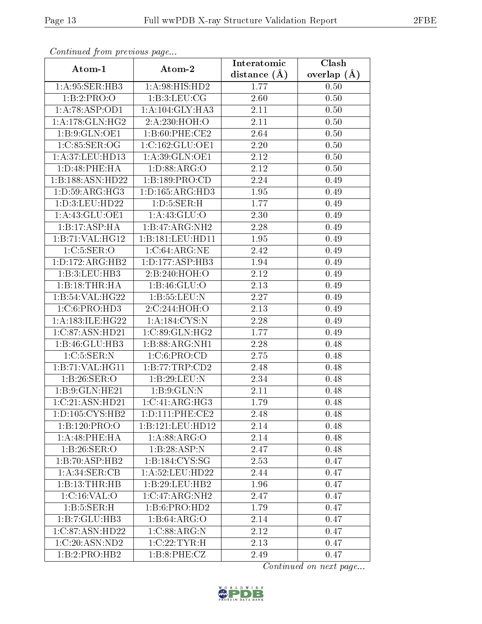| Comunaca jiom previous page |                                  | Interatomic    | Clash         |
|-----------------------------|----------------------------------|----------------|---------------|
| Atom-1                      | Atom-2                           | distance $(A)$ | overlap $(A)$ |
| 1:A:95:SER:HB3              | 1:A:98:HIS:HD2                   | 1.77           | 0.50          |
| 1:B:2:PRO:O                 | 1: B:3: LEU: CG                  | 2.60           | 0.50          |
| 1:A:78:ASP:OD1              | 1: A:104: GLY:HA3                | 2.11           | 0.50          |
| 1: A:178: GLN: HG2          | 2:A:230:HOH:O                    | 2.11           | 0.50          |
| 1:B:9:GLN:OE1               | 1:B:60:PHE:CE2                   | 2.64           | 0.50          |
| 1:C:85:SER:OG               | 1:C:162:GLU:OE1                  | 2.20           | 0.50          |
| 1:A:37:LEU:HD13             | 1: A:39: GLN:OE1                 | 2.12           | 0.50          |
| 1: D:48: PHE: HA            | 1: D: 88: ARG: O                 | 2.12           | 0.50          |
| 1:B:188:ASN:HD22            | 1:B:189:PRO:CD                   | 2.24           | 0.49          |
| 1: D:59: ARG: HG3           | 1: D: 165: ARG: HD3              | 1.95           | 0.49          |
| 1:D:3:LEU:HD22              | 1: D: 5: SER:H                   | 1.77           | 0.49          |
| 1: A:43: GLU:OE1            | 1: A:43: GLU:O                   | 2.30           | 0.49          |
| 1:B:17:ASP:HA               | 1:B:47:ARG:NH2                   | 2.28           | 0.49          |
| 1:B:71:VAL:HG12             | 1:B:181:LEU:HD11                 | 1.95           | 0.49          |
| 1:C:5:SER:O                 | 1:C:64:ARG:NE                    | 2.42           | 0.49          |
| 1: D: 172: ARG: HB2         | 1: D: 177: ASP: HB3              | 1.94           | 0.49          |
| 1:B:3:LEU:HB3               | 2:B:240:HOH:O                    | 2.12           | 0.49          |
| 1:B:18:THR:HA               | 1: B: 46: GLU:O                  | 2.13           | 0.49          |
| 1:B:54:VAL:HG22             | 1:B:55:LEU:N                     | 2.27           | 0.49          |
| 1:C:6:PRO:HD3               | 2:C:244:HOH:O                    | 2.13           | 0.49          |
| 1:A:183:ILE:HG22            | 1: A: 184: CYS:N                 | 2.28           | 0.49          |
| 1:C:87:ASN:HD21             | 1:C:89:GLN:HG2                   | 1.77           | 0.49          |
| 1:B:46:GLU:HB3              | 1:B:88:ARG:NH1                   | 2.28           | 0.48          |
| 1:C:5:SER:N                 | 1:C:6:PRO:CD                     | 2.75           | 0.48          |
| 1:B:71:VAL:HG11             | 1:B:77:TRP:CD2                   | 2.48           | 0.48          |
| 1:B:26:SER:O                | 1:B:29:LEU:N                     | 2.34           | 0.48          |
| 1:B:9:GLN:HE21              | 1: B: 9: GLN:N                   | 2.11           | 0.48          |
| 1:C:21:ASN:HD21             | 1:C:41:ARG:HG3                   | 1.79           | 0.48          |
| 1:D:105:CYS:HB2             | $1: D: 111: PHE: \overline{CE2}$ | 2.48           | 0.48          |
| 1:B:120:PRO:O               | 1:B:121:EU:HD12                  | 2.14           | 0.48          |
| 1:A:48:PHE:HA               | 1: A:88: ARG:O                   | 2.14           | 0.48          |
| 1:B:26:SER:O                | 1:B:28:ASP:N                     | 2.47           | 0.48          |
| 1:B:70:ASP:HB2              | 1:B:184:CYS:SG                   | 2.53           | 0.47          |
| 1: A:34: SER:CB             | 1: A:52: LEU: HD22               | 2.44           | 0.47          |
| 1:B:13:THR:HB               | 1:B:29:LEU:HB2                   | 1.96           | 0.47          |
| 1: C:16: VAL:O              | 1:C:47:ARG:NH2                   | 2.47           | 0.47          |
| 1: B: 5: SER:H              | 1:B:6:PRO:HD2                    | 1.79           | 0.47          |
| 1:B:7:GLU:HB3               | $1:B:64:\overline{\text{ARG}:O}$ | 2.14           | 0.47          |
| 1:C:87:ASN:HD22             | 1:C:88:ARG:N                     | 2.12           | 0.47          |
| 1:C:20:ASN:ND2              | 1:C:22:TYR:H                     | 2.13           | 0.47          |
| $1:B:2:PRO:H\overline{B2}$  | 1:B:8:PHE:CZ                     | 2.49           | 0.47          |

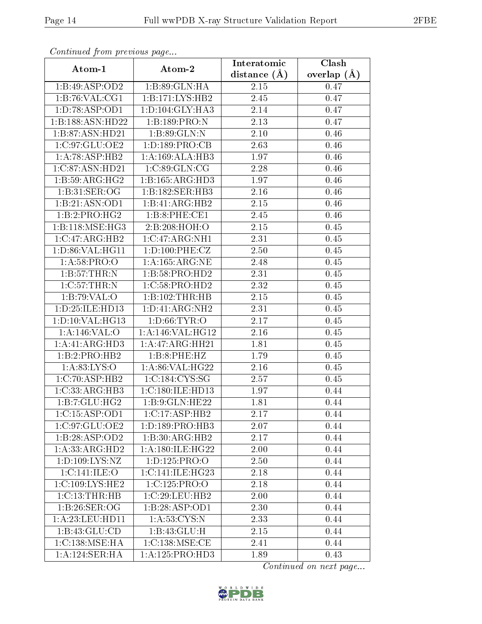| Continuata from previous page |                     | Interatomic    | Clash         |
|-------------------------------|---------------------|----------------|---------------|
| Atom-1                        | Atom-2              | distance $(A)$ | overlap $(A)$ |
| 1:B:49:ASP:OD2                | 1:B:89:GLN:HA       | 2.15           | 0.47          |
| 1:B:76:VAL:CG1                | 1:B:171:LYS:HB2     | 2.45           | 0.47          |
| 1:D:78:ASP:OD1                | 1: D: 104: GLY: HA3 | 2.14           | 0.47          |
| 1:B:188:ASN:HD22              | 1:B:189:PRO:N       | 2.13           | 0.47          |
| 1:B:87:ASN:HD21               | 1:B:89:GLN:N        | 2.10           | 0.46          |
| 1:C:97:GLU:OE2                | 1: D: 189: PRO: CB  | 2.63           | 0.46          |
| 1:A:78:ASP:HB2                | 1:A:169:ALA:HB3     | 1.97           | 0.46          |
| 1:C:87:ASN:HD21               | 1:C:89:GLN:CG       | 2.28           | 0.46          |
| 1: B:59: ARG: HG2             | 1:B:165:ARG:HD3     | 1.97           | 0.46          |
| 1:B:31:SER:OG                 | 1:B:182:SER:HB3     | 2.16           | 0.46          |
| 1:B:21:ASN:OD1                | 1:B:41:ARG:HB2      | $2.15\,$       | 0.46          |
| 1:B:2:PRO:HG2                 | 1:B:8:PHE:CE1       | 2.45           | 0.46          |
| 1:B:118:MSE:HG3               | 2:B:208:HOH:O       | 2.15           | 0.45          |
| 1:C:47:ARG:HB2                | 1:C:47:ARG:NH1      | 2.31           | 0.45          |
| 1:D:86:VAL:HG11               | 1:D:100:PHE:CZ      | 2.50           | 0.45          |
| 1: A:58: PRO:O                | 1: A: 165: ARG: NE  | 2.48           | 0.45          |
| 1:B:57:THR:N                  | 1:B:58:PRO:HD2      | 2.31           | 0.45          |
| 1:C:57:THR:N                  | 1:C:58:PRO:HD2      | 2.32           | 0.45          |
| 1:B:79:VAL:O                  | 1:B:102:THR:HB      | $2.15\,$       | 0.45          |
| 1: D: 25: ILE: HD13           | 1: D: 41: ARG: NH2  | 2.31           | 0.45          |
| 1: D: 10: VAL: HG13           | 1: D:66: TYR:O      | 2.17           | 0.45          |
| 1:A:146:VAL:O                 | 1:A:146:VAL:HG12    | 2.16           | 0.45          |
| 1:A:41:ARG:HD3                | 1:A:47:ARG:HH21     | 1.81           | 0.45          |
| 1:B:2:PRO:HB2                 | 1:B:8:PHE:HZ        | 1.79           | 0.45          |
| 1: A:83: LYS:O                | 1: A:86: VAL:HG22   | 2.16           | 0.45          |
| 1:C:70:ASP:HB2                | 1:C:184:CYS:SG      | 2.57           | 0.45          |
| 1:C:33:ARG:HB3                | 1:C:180:ILE:HD13    | 1.97           | 0.44          |
| 1:B:7:GLU:HG2                 | 1:B:9:GLN:HE22      | 1.81           | 0.44          |
| 1:C:15:ASP:OD1                | 1:C:17:ASP:HB2      | 2.17           | 0.44          |
| 1:C:97:GLU:OE2                | 1:D:189:PRO:HB3     | 2.07           | 0.44          |
| 1:B:28:ASP:OD2                | 1:B:30:ARG:HB2      | 2.17           | 0.44          |
| 1:A:33:ARG:HD2                | 1: A:180: ILE: HG22 | 2.00           | 0.44          |
| 1: D: 109: LYS: NZ            | 1:D:125:PRO:O       | 2.50           | 0.44          |
| 1:C:141:ILE:O                 | 1:C:141:ILE:HG23    | 2.18           | 0.44          |
| 1: C: 109: LYS: HE2           | 1:C:125:PRO:O       | 2.18           | 0.44          |
| 1:C:13:THR:HB                 | 1:C:29:LEU:HB2      | 2.00           | 0.44          |
| 1:B:26:SER:OG                 | 1:B:28:ASP:OD1      | 2.30           | 0.44          |
| 1: A:23: LEU: HD11            | 1: A:53: CYS:N      | 2.33           | 0.44          |
| 1:B:43:GLU:CD                 | 1:B:43:GLU:H        | 2.15           | 0.44          |
| 1:C:138:MSE:HA                | 1:C:138:MSE:CE      | 2.41           | 0.44          |
| 1:A:124:SER:HA                | 1: A:125: PRO:HD3   | 1.89           | 0.43          |

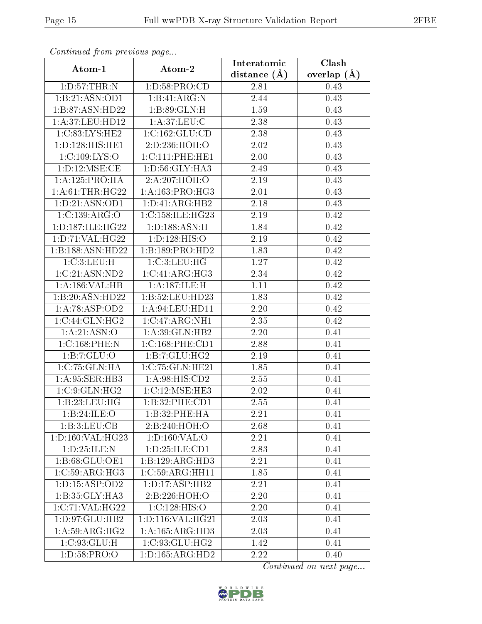| Continuea from previous page |                     | Interatomic    | Clash         |
|------------------------------|---------------------|----------------|---------------|
| Atom-1                       | Atom-2              | distance $(A)$ | overlap $(A)$ |
| 1: D:57:THR:N                | 1: D:58: PRO:CD     | 2.81           | 0.43          |
| 1:B:21:ASN:OD1               | 1:B:41:ARG:N        | 2.44           | 0.43          |
| 1: B:87: ASN:HD22            | 1:B:89:GLN:H        | 1.59           | 0.43          |
| 1:A:37:LEU:HD12              | 1: A:37: LEU: C     | 2.38           | 0.43          |
| 1:C:83:LYS:HE2               | 1:C:162:GLU:CD      | 2.38           | 0.43          |
| 1:D:128:HIS:HE1              | 2:D:236:HOH:O       | 2.02           | 0.43          |
| 1:C:109:LYS:O                | 1:C:111:PHE:HE1     | 2.00           | 0.43          |
| 1: D: 12: MSE: CE            | 1:D:56:GLY:HA3      | 2.49           | 0.43          |
| 1: A: 125: PRO: HA           | 2:A:207:HOH:O       | $2.19\,$       | 0.43          |
| 1: A:61:THR:HG22             | 1: A: 163: PRO:HG3  | 2.01           | 0.43          |
| 1: D: 21: ASN: OD1           | 1:D:41:ARG:HB2      | 2.18           | 0.43          |
| 1:C:139:ARG:O                | 1:C:158:ILE:HG23    | 2.19           | 0.42          |
| 1: D: 187: ILE: HG22         | 1: D: 188: ASN: H   | 1.84           | 0.42          |
| 1: D: 71: VAL: HG22          | 1: D: 128: HIS: O   | 2.19           | 0.42          |
| 1:B:188:ASN:HD22             | 1:B:189:PRO:HD2     | 1.83           | 0.42          |
| 1:C:3:LEU:H                  | 1:C:3:LEU:HG        | 1.27           | 0.42          |
| 1:C:21:ASN:ND2               | 1:C:41:ARG:HG3      | 2.34           | 0.42          |
| 1:A:186:VAL:HB               | 1:A:187:ILE:H       | 1.11           | 0.42          |
| 1:B:20:ASN:HD22              | 1:5:52:LEU:HD23     | 1.83           | 0.42          |
| 1:A:78:ASP:OD2               | 1: A:94:LEU:HD11    | 2.20           | 0.42          |
| 1:C:44:GLN:HG2               | 1:C:47:ARG:NH1      | 2.35           | 0.42          |
| 1: A:21: ASN:O               | 1:A:39:GLN:HB2      | 2.20           | 0.41          |
| 1:C:168:PHE:N                | 1:C:168:PHE:CD1     | 2.88           | 0.41          |
| 1:B:7:GLU:O                  | 1:B:7:GLU:HG2       | 2.19           | 0.41          |
| 1:C:75:GLN:HA                | 1:C:75:GLN:HE21     | 1.85           | 0.41          |
| 1:A:95:SER:HB3               | 1: A:98: HIS:CD2    | 2.55           | 0.41          |
| 1:C:9:GLN:HG2                | 1:C:12:MSE:HE3      | 2.02           | 0.41          |
| $1:B:23:LEU:H\overline{G}$   | 1:B:32:PHE:CD1      | 2.55           | 0.41          |
| 1:B:24:ILE:O                 | 1:B:32:PHE:HA       | 2.21           | 0.41          |
| 1:B:3:LEU:CB                 | 2:B:240:HOH:O       | 2.68           | 0.41          |
| 1: D: 160: VAL:HG23          | 1: D: 160: VAL: O   | 2.21           | 0.41          |
| 1:D:25:ILE:N                 | 1: D: 25: ILE: CD1  | 2.83           | 0.41          |
| 1:B:68:GLU:OE1               | 1:B:129:ARG:HD3     | 2.21           | 0.41          |
| 1:C:59:ARG:HG3               | 1:C:59:ARG:HH11     | 1.85           | 0.41          |
| 1: D: 15: ASP: OD2           | 1: D: 17: ASP: HB2  | 2.21           | 0.41          |
| 1:B:35:GLY:HA3               | 2:B:226:HOH:O       | 2.20           | 0.41          |
| 1:C:71:VAL:HG22              | 1:C:128:HIS:O       | 2.20           | 0.41          |
| 1:D:97:GLU:HB2               | 1:D:116:VAL:HG21    | 2.03           | 0.41          |
| 1: A:59: ARG: HG2            | 1: A: 165: ARG: HD3 | 2.03           | 0.41          |
| 1:C:93:GLU:H                 | 1:C:93:GLU:HG2      | 1.42           | 0.41          |
| 1: D:58: PRO:O               | 1: D: 165: ARG: HD2 | 2.22           | 0.40          |

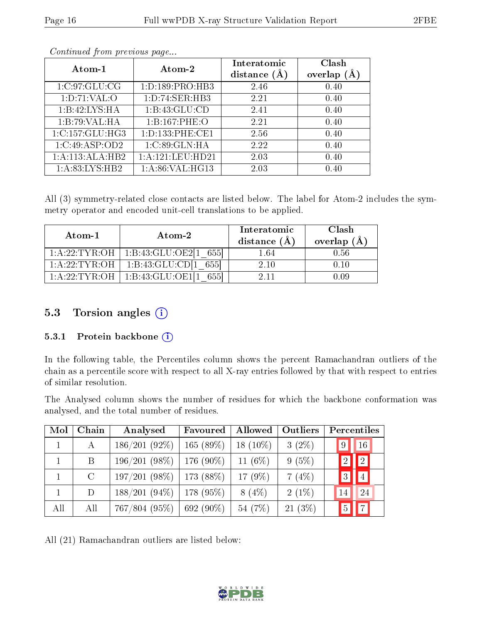| Atom- $1$         | Atom-2              | Interatomic<br>distance $(A)$ | Clash<br>(Å<br>overlap |
|-------------------|---------------------|-------------------------------|------------------------|
| 1:C:97:GLU:CG     | 1: D: 189: PRO: HB3 | 2.46                          | 0.40                   |
| 1: D: 71: VAL: O  | 1: D: 74: SER: HB3  | 2.21                          | 0.40                   |
| 1:B:42:LYS:HA     | 1:B:43:GLU:CD       | 2.41                          | 0.40                   |
| 1:B:79:VAL:HA     | 1:B:167:PHE:O       | 2.21                          | 0.40                   |
| 1:C:157:GLU:HG3   | 1:D:133:PHE:CE1     | 2.56                          | 0.40                   |
| 1:C:49:ASP:OD2    | 1:C:89:GLN:HA       | 2.22                          | 0.40                   |
| 1:A:113:ALA:HB2   | 1:A:121:LEU:HD21    | 2.03                          | 0.40                   |
| 1: A:83: LYS: HB2 | 1: A:86: VAL:HG13   | 2.03                          | 0.40                   |

All (3) symmetry-related close contacts are listed below. The label for Atom-2 includes the symmetry operator and encoded unit-cell translations to be applied.

| Atom-1         | $\boldsymbol{\mathrm{Atom}\text{-}2}$ | Interatomic<br>distance $(A)$ | <b>Clash</b><br>overlap $(A)$ |
|----------------|---------------------------------------|-------------------------------|-------------------------------|
| 1: A:22:TYR:OH | 1:B:43:GLU:OE2[1]<br>-6551            | $1.64\,$                      | 0.56                          |
| 1:A:22:TYR:OH  | 1:B:43:GLU:CD[1]<br>6551              | 2.10                          | 0.10                          |
| 1 A 22 TYR OH  | 1:B:43:GLU:OE1                        |                               | 0.09                          |

#### 5.3 Torsion angles  $(i)$

#### 5.3.1 Protein backbone  $(i)$

In the following table, the Percentiles column shows the percent Ramachandran outliers of the chain as a percentile score with respect to all X-ray entries followed by that with respect to entries of similar resolution.

The Analysed column shows the number of residues for which the backbone conformation was analysed, and the total number of residues.

| Mol          | Chain         | Analysed         | Favoured     | Allowed    | Outliers  | Percentiles                   |
|--------------|---------------|------------------|--------------|------------|-----------|-------------------------------|
| $\mathbf{1}$ | А             | $186/201(92\%)$  | 165(89%)     | $18(10\%)$ | $3(2\%)$  | 16<br>9                       |
|              | B             | 196/201(98%)     | $176(90\%)$  | 11 $(6\%)$ | 9(5%)     | $\boxed{2}$<br>$\overline{2}$ |
|              | $\mathcal{C}$ | 197/201(98%)     | $173(88\%)$  | 17 $(9\%)$ | 7(4%)     | $\overline{4}$<br>3           |
|              | D             | $188/201(94\%)$  | 178 $(95\%)$ | $8(4\%)$   | $2(1\%)$  | 24<br>14                      |
| All          | All           | $767/804~(95\%)$ | 692 $(90\%)$ | 54 (7%)    | $21(3\%)$ | 7 <br>$\overline{5}$          |

All (21) Ramachandran outliers are listed below:

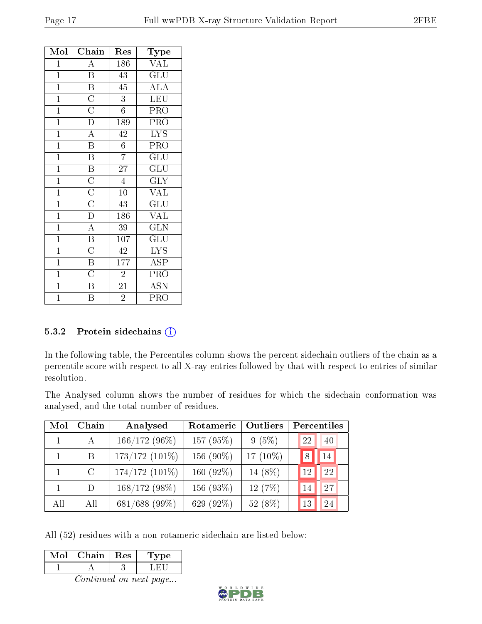| Mol            | Chain                               | Res              | Type                      |
|----------------|-------------------------------------|------------------|---------------------------|
| $\overline{1}$ | $\overline{\rm A}$                  | 186              | <b>VAL</b>                |
| $\mathbf{1}$   | $\overline{B}$                      | 43               | $\overline{\text{GLU}}$   |
| $\overline{1}$ | $\overline{B}$                      | 45               | $\overline{\rm ALA}$      |
| $\mathbf{1}$   | $\frac{\overline{C}}{\overline{C}}$ | $\overline{3}$   | LEU                       |
| $\overline{1}$ |                                     | $6\phantom{.0}$  | PRO                       |
| $\overline{1}$ |                                     | 189              | PRO                       |
| $\mathbf{1}$   | $\overline{A}$                      | 42               | $\overline{\text{LYS}}$   |
| $\overline{1}$ | $\overline{\mathbf{B}}$             | $6\phantom{.}$   | PRO                       |
| $\mathbf{1}$   | $\overline{\mathrm{B}}$             | $\overline{7}$   | $\overline{\text{GLU}}$   |
| $\overline{1}$ | $\overline{\mathbf{B}}$             | $\overline{27}$  | $\overline{{\rm GLU}}$    |
| $\overline{1}$ | $\frac{\overline{C}}{\overline{C}}$ | $\overline{4}$   | $\overline{\text{GLY}}$   |
| $\mathbf{1}$   |                                     | 10               | VAL                       |
| $\overline{1}$ | $\frac{\overline{C}}{D}$            | 43               | $\overline{\mathrm{GLU}}$ |
| $\mathbf{1}$   |                                     | 186              | <b>VAL</b>                |
| $\overline{1}$ | $\frac{\overline{A}}{\overline{B}}$ | 39               | $\widetilde{{\rm GLN}}$   |
| $\overline{1}$ |                                     | $\overline{10}7$ | $\overline{{\rm GLU}}$    |
| $\mathbf{1}$   | $\frac{\overline{C}}{B}$            | $\overline{42}$  | $\overline{\text{LYS}}$   |
| $\overline{1}$ |                                     | $\overline{177}$ | $\overline{\text{ASP}}$   |
| $\mathbf{1}$   | $\overline{\rm C}$                  | $\overline{2}$   | PRO                       |
| $\mathbf{1}$   | $\overline{\mathbf{B}}$             | 21               | $\overline{A}$ SN         |
| $\overline{1}$ | $\overline{\mathrm{B}}$             | $\overline{2}$   | $\overline{\text{PRO}}$   |

#### 5.3.2 Protein sidechains (i)

In the following table, the Percentiles column shows the percent sidechain outliers of the chain as a percentile score with respect to all X-ray entries followed by that with respect to entries of similar resolution.

The Analysed column shows the number of residues for which the sidechain conformation was analysed, and the total number of residues.

| Mol | Chain         | Analysed         | Rotameric    | Outliers |    | Percentiles |
|-----|---------------|------------------|--------------|----------|----|-------------|
|     | $\mathsf{A}$  | $166/172(96\%)$  | 157 $(95%)$  | 9(5%)    | 22 | 40          |
|     | B             | $173/172(101\%)$ | 156 (90%)    | 17 (10%) | 8  | 14          |
|     | $\mathcal{C}$ | $174/172(101\%)$ | 160 $(92\%)$ | 14 (8%)  | 12 | 22          |
|     | D             | $168/172(98\%)$  | 156 (93%)    | 12(7%)   | 14 | 27          |
| All | AIL           | 681/688 (99%)    | 629 (92%)    | 52 (8%)  | 13 | 24          |

All (52) residues with a non-rotameric sidechain are listed below:

| Mol | Chain   Res | Type |
|-----|-------------|------|
|     |             |      |

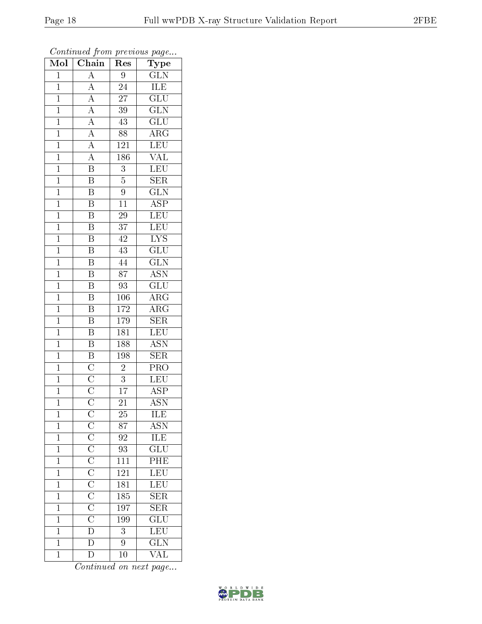| Mol            | $\overline{\text{Chain}}$                                                                                                                                                                                                                 | Res              | $\overline{\phantom{a}}$<br>Type                      |
|----------------|-------------------------------------------------------------------------------------------------------------------------------------------------------------------------------------------------------------------------------------------|------------------|-------------------------------------------------------|
| $\mathbf{1}$   | $\mathbf{A}$                                                                                                                                                                                                                              | 9                | $\overline{\text{GLN}}$                               |
| $\overline{1}$ | $\overline{A}$                                                                                                                                                                                                                            | $\overline{24}$  | <b>ILE</b>                                            |
| $\mathbf{1}$   |                                                                                                                                                                                                                                           | $\overline{27}$  | $\overline{\text{GLU}}$                               |
| $\overline{1}$ |                                                                                                                                                                                                                                           | $\overline{39}$  | $\overline{\text{GLN}}$                               |
| $\overline{1}$ |                                                                                                                                                                                                                                           | $\overline{43}$  | $\overline{\text{GLU}}$                               |
| $\mathbf{1}$   |                                                                                                                                                                                                                                           | 88               | $\overline{\text{ARG}}$                               |
| $\mathbf{1}$   | $\frac{\overline{A}}{\overline{A}}$ $\frac{\overline{A}}{\overline{A}}$ $\frac{\overline{A}}{\overline{A}}$ $\frac{\overline{A}}{\overline{B}}$                                                                                           | 121              | LEU                                                   |
| $\mathbf{1}$   |                                                                                                                                                                                                                                           | 186              | $\overline{\text{VAL}}$                               |
| $\overline{1}$ |                                                                                                                                                                                                                                           | $\overline{3}$   | <b>LEU</b>                                            |
| $\overline{1}$ | $\overline{\mathbf{B}}$                                                                                                                                                                                                                   | $\overline{5}$   | $\overline{\text{SER}}$                               |
| $\mathbf{1}$   | $\overline{\mathbf{B}}$                                                                                                                                                                                                                   | $\overline{9}$   | $\overline{\text{GLN}}$                               |
| $\mathbf{1}$   | $\overline{B}$                                                                                                                                                                                                                            | 11               | $\overline{\rm ASP}$                                  |
| $\overline{1}$ | $\overline{\mathbf{B}}$                                                                                                                                                                                                                   | $\overline{29}$  | LEU                                                   |
| $\overline{1}$ | $\overline{\mathrm{B}}$                                                                                                                                                                                                                   | 37               | <b>LEU</b>                                            |
| $\overline{1}$ | $\overline{\mathrm{B}}$                                                                                                                                                                                                                   | $\overline{42}$  | <b>LYS</b>                                            |
| $\mathbf{1}$   | $\overline{\mathrm{B}}$                                                                                                                                                                                                                   | 43               | $\overline{{\rm GLU}}$                                |
| $\overline{1}$ | $\overline{\mathrm{B}}$                                                                                                                                                                                                                   | 44               | $\overline{\text{GLN}}$                               |
| $\mathbf{1}$   | $\overline{\mathbf{B}}$                                                                                                                                                                                                                   | $\overline{87}$  | $\overline{ASN}$                                      |
| $\overline{1}$ | $\overline{\mathrm{B}}$                                                                                                                                                                                                                   | $\overline{93}$  | $\overline{\text{GLU}}$                               |
| $\overline{1}$ | $\overline{\mathrm{B}}$                                                                                                                                                                                                                   | <b>106</b>       | $\bar{\rm{ARG}}$                                      |
| $\overline{1}$ | $\overline{B}$                                                                                                                                                                                                                            | 172              | $\overline{\rm ARG}$                                  |
| $\overline{1}$ | $\overline{\mathbf{B}}$                                                                                                                                                                                                                   | 179              | $\overline{\text{SER}}$                               |
| $\overline{1}$ | $\overline{\mathrm{B}}$                                                                                                                                                                                                                   | 181              | $\overline{\text{LEU}}$                               |
| $\overline{1}$ | $\overline{B}$                                                                                                                                                                                                                            | 188              | $\overline{\text{ASN}}$                               |
| $\mathbf{1}$   | $\overline{\mathbf{B}}$                                                                                                                                                                                                                   | 198              | $\overline{\text{SER}}$                               |
| $\mathbf{1}$   | $\frac{\overline{\text{C}}}{\overline{\text{C}}}}$ $\frac{\overline{\text{C}}}{\overline{\text{C}}}$                                                                                                                                      | $\overline{c}$   | $\overline{\text{PRO}}$                               |
| $\overline{1}$ |                                                                                                                                                                                                                                           | $\overline{3}$   | LEU                                                   |
| $\mathbf{1}$   |                                                                                                                                                                                                                                           | $\overline{17}$  | $\overline{\text{ASP}}$                               |
| $\overline{1}$ |                                                                                                                                                                                                                                           | $\overline{21}$  | $\overline{\mathrm{ASN}}$                             |
| $\mathbf{1}$   |                                                                                                                                                                                                                                           | 25               | ILE                                                   |
| $\mathbf{1}$   | $\frac{\overline{C}}{\overline{C}}\frac{\overline{C}}{\overline{C}}\frac{\overline{C}}{\overline{C}}\frac{\overline{C}}{\overline{C}}\frac{\overline{C}}{\overline{C}}\frac{\overline{C}}{\overline{D}}\frac{\overline{D}}{\overline{D}}$ | 87               | $\overline{\text{ASN}}$                               |
| $\mathbf{1}$   |                                                                                                                                                                                                                                           | 92               | $\overline{\text{ILE}}$                               |
| $\mathbf 1$    |                                                                                                                                                                                                                                           | 93               | $\overline{{\rm GLU}}$                                |
| $\overline{1}$ |                                                                                                                                                                                                                                           | $\overline{111}$ | $\overline{\text{PHE}}$                               |
| $\mathbf 1$    |                                                                                                                                                                                                                                           | 121              | LEU<br>LEU                                            |
| $\mathbf{1}$   |                                                                                                                                                                                                                                           | $\overline{181}$ |                                                       |
| $\mathbf{1}$   |                                                                                                                                                                                                                                           | 185              | $\frac{\overline{\text{SER}}}{\text{SER}}$            |
| $\overline{1}$ |                                                                                                                                                                                                                                           | 197              |                                                       |
| $\mathbf{1}$   |                                                                                                                                                                                                                                           | 199              |                                                       |
| $\mathbf 1$    |                                                                                                                                                                                                                                           | $\overline{3}$   | $\frac{\overline{\text{GLU}}}{\overline{\text{LEU}}}$ |
| $\mathbf 1$    |                                                                                                                                                                                                                                           | 9                |                                                       |
| $\mathbf{1}$   | $\bar{\rm D}$                                                                                                                                                                                                                             | 10               | $\overline{\text{VAL}}$                               |

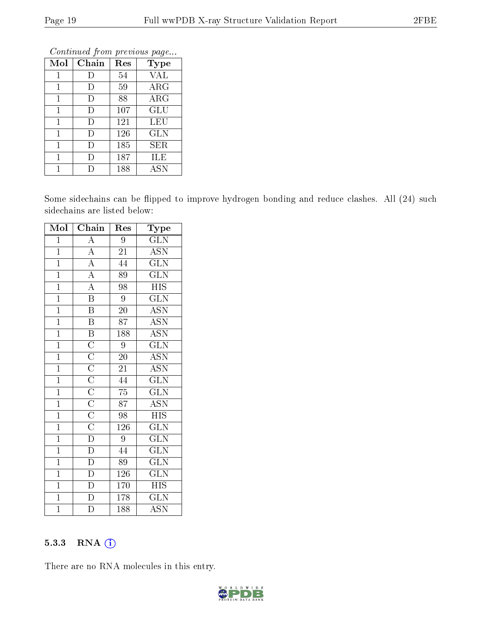| Mol          | Chain | Res | Type       |
|--------------|-------|-----|------------|
| $\mathbf{1}$ | Ð     | 54  | <b>VAL</b> |
| 1            | I)    | 59  | $\rm{ARG}$ |
| $\mathbf{1}$ | D     | 88  | $\rm{ARG}$ |
| 1            | D     | 107 | GLU        |
| 1            | D     | 121 | LEU        |
| 1            | D     | 126 | GLN        |
| 1            | D     | 185 | SER.       |
| 1            | Ð     | 187 | ILE        |
|              |       | 188 | ASN        |

Some sidechains can be flipped to improve hydrogen bonding and reduce clashes. All (24) such sidechains are listed below:

| Mol            | $\overline{\text{Chain}}$                                                                                                                                                                                | Res             | $_{\rm Type}$             |
|----------------|----------------------------------------------------------------------------------------------------------------------------------------------------------------------------------------------------------|-----------------|---------------------------|
| $\mathbf 1$    |                                                                                                                                                                                                          | 9               | $\overline{\text{GLN}}$   |
| $\overline{1}$ | $\frac{\overline{A}}{\overline{A}}$ $\frac{\overline{A}}{\overline{A}}$ $\frac{\overline{A}}{\overline{B}}$                                                                                              | $\overline{21}$ | $\overline{ASN}$          |
| $\overline{1}$ |                                                                                                                                                                                                          | 44              | $\overline{\text{GLN}}$   |
| $\overline{1}$ |                                                                                                                                                                                                          | $\overline{89}$ | $\overline{\text{GLN}}$   |
| $\overline{1}$ |                                                                                                                                                                                                          | $\overline{98}$ | $\overline{HIS}$          |
| $\overline{1}$ |                                                                                                                                                                                                          | $\overline{9}$  | $\overline{\text{GLN}}$   |
| $\overline{1}$ | $\overline{\mathbf{B}}$                                                                                                                                                                                  | $20\,$          | $\overline{\mathrm{ASN}}$ |
| $\overline{1}$ | $\overline{B}$                                                                                                                                                                                           | $\overline{87}$ | $\overline{\text{ASN}}$   |
| $\mathbf{1}$   |                                                                                                                                                                                                          | 188             | $\overline{\mathrm{ASN}}$ |
| $\overline{1}$ |                                                                                                                                                                                                          | $\overline{9}$  | $\overline{\text{GLN}}$   |
| $\overline{1}$ |                                                                                                                                                                                                          | 20              | $\overline{\text{ASN}}$   |
| $\overline{1}$ |                                                                                                                                                                                                          | $\overline{21}$ | $\overline{\text{ASN}}$   |
| $\overline{1}$ |                                                                                                                                                                                                          | 44              | $\overline{\text{GLN}}$   |
| $\overline{1}$ |                                                                                                                                                                                                          | $\overline{75}$ | $\overline{\text{GLN}}$   |
| $\overline{1}$ |                                                                                                                                                                                                          | $\overline{87}$ | $\overline{\text{ASN}}$   |
| $\overline{1}$ |                                                                                                                                                                                                          | $\overline{98}$ | $\overline{HIS}$          |
| $\overline{1}$ |                                                                                                                                                                                                          | 126             | $\overline{\text{GLN}}$   |
| $\overline{1}$ |                                                                                                                                                                                                          | 9               | $\overline{\text{GLN}}$   |
| $\overline{1}$ |                                                                                                                                                                                                          | 44              | $\overline{\text{GLN}}$   |
| $\overline{1}$ | $\frac{\overline{B}}{C}\frac{\overline{C}}{C}\frac{\overline{C}}{C}\frac{\overline{C}}{C}\frac{\overline{C}}{C}\frac{\overline{C}}{C}\frac{\overline{D}}{D}\frac{\overline{D}}{D}\frac{\overline{D}}{D}$ | 89              | $\overline{\text{GLN}}$   |
| $\overline{1}$ |                                                                                                                                                                                                          | 126             | $\overline{\text{GLN}}$   |
| $\overline{1}$ | $\overline{D}$                                                                                                                                                                                           | 170             | $\overline{HIS}$          |
| $\overline{1}$ | $\overline{D}$                                                                                                                                                                                           | 178             | <b>GLN</b>                |
| $\overline{1}$ | $\overline{\mathrm{D}}$                                                                                                                                                                                  | 188             | $\overline{\text{ASN}}$   |

#### 5.3.3 RNA (i)

There are no RNA molecules in this entry.

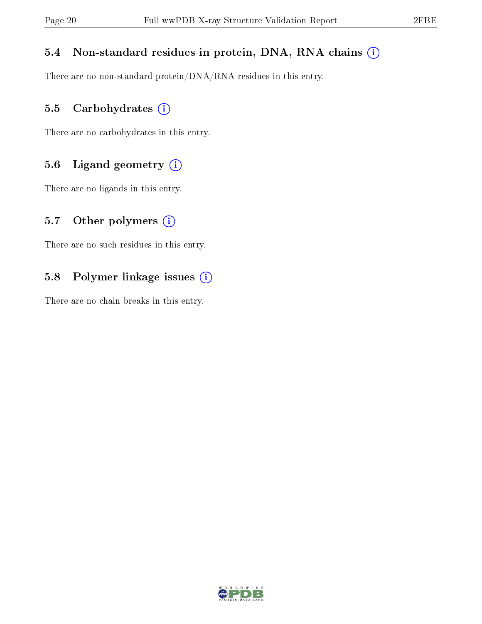#### 5.4 Non-standard residues in protein, DNA, RNA chains (i)

There are no non-standard protein/DNA/RNA residues in this entry.

#### 5.5 Carbohydrates (i)

There are no carbohydrates in this entry.

#### 5.6 Ligand geometry (i)

There are no ligands in this entry.

#### 5.7 [O](https://www.wwpdb.org/validation/2017/XrayValidationReportHelp#nonstandard_residues_and_ligands)ther polymers  $(i)$

There are no such residues in this entry.

#### 5.8 Polymer linkage issues (i)

There are no chain breaks in this entry.

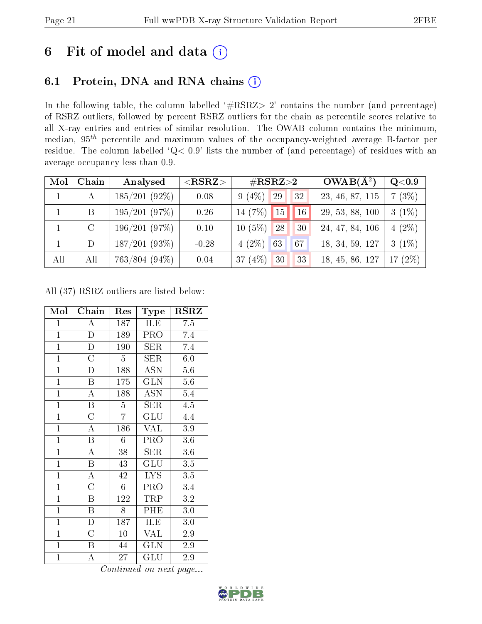### 6 Fit of model and data  $(i)$

### 6.1 Protein, DNA and RNA chains  $(i)$

In the following table, the column labelled  $#RSRZ> 2'$  contains the number (and percentage) of RSRZ outliers, followed by percent RSRZ outliers for the chain as percentile scores relative to all X-ray entries and entries of similar resolution. The OWAB column contains the minimum, median,  $95<sup>th</sup>$  percentile and maximum values of the occupancy-weighted average B-factor per residue. The column labelled ' $Q< 0.9$ ' lists the number of (and percentage) of residues with an average occupancy less than 0.9.

| Mol | Chain | Analysed         | $<$ RSRZ $>$ | $\#\text{RSRZ}{>}2$        |    | $OWAB(A^2)$     | Q <sub>0.9</sub>          |
|-----|-------|------------------|--------------|----------------------------|----|-----------------|---------------------------|
|     | А     | $185/201(92\%)$  | 0.08         | (4%)<br>29<br>9            | 32 | 23, 46, 87, 115 | 7(3%)                     |
|     | B     | 195/201(97%)     | 0.26         | 14 $(7%)$<br>15            | 16 | 29, 53, 88, 100 | $(1\%)$<br>3 <sup>1</sup> |
|     |       | 196/201(97%)     | 0.10         | (5%)<br>28<br>$10^{\circ}$ | 30 | 24, 47, 84, 106 | $(2\%)$<br>4              |
|     | D     | 187/201(93%)     | $-0.28$      | $(2\%)$<br>63<br>4         | 67 | 18, 34, 59, 127 | $3(1\%)$                  |
| All | All   | $763/804~(94\%)$ | 0.04         | $(4\%)$<br>30<br>37        | 33 | 18, 45, 86, 127 | $(2\%)$<br>17             |

All (37) RSRZ outliers are listed below:

| Mol            | Chain                     | Res            | Type                    | $_{\rm RSRZ}$    |
|----------------|---------------------------|----------------|-------------------------|------------------|
| $\mathbf{1}$   | A                         | 187            | ILE                     | 7.5              |
| $\overline{1}$ | $\overline{\rm D}$        | 189            | PRO                     | 7.4              |
| $\mathbf{1}$   | $\mathbf D$               | 190            | $\overline{\text{SER}}$ | 7.4              |
| $\mathbf{1}$   | $\overline{\rm C}$        | $\overline{5}$ | SER                     | $6.0\,$          |
| $\overline{1}$ | D                         | 188            | $\overline{A}$ SN       | $\overline{5}.6$ |
| $\mathbf{1}$   | $\boldsymbol{B}$          | 175            | $\overline{\text{GLN}}$ | $5.6\,$          |
| $\mathbf{1}$   | $\overline{A}$            | 188            | <b>ASN</b>              | 5.4              |
| $\mathbf{1}$   | B                         | $\overline{5}$ | SER                     | 4.5              |
| $\overline{1}$ | $\overline{\rm C}$        | $\overline{7}$ | GLU                     | 4.4              |
| $\mathbf{1}$   | $\boldsymbol{A}$          | 186            | <b>VAL</b>              | $3.9\,$          |
| $\overline{1}$ | $\boldsymbol{B}$          | 6              | PRO                     | $3.6\,$          |
| $\overline{1}$ | $\overline{\rm A}$        | 38             | <b>SER</b>              | 3.6              |
| $\overline{1}$ | $\overline{B}$            | 43             | GLU                     | $\overline{3.5}$ |
| $\mathbf{1}$   | $\boldsymbol{A}$          | 42             | <b>LYS</b>              | 3.5              |
| $\overline{1}$ | $\overline{\rm C}$        | 6              | PRO                     | 3.4              |
| $\overline{1}$ | $\boldsymbol{B}$          | 122            | TRP                     | $\!3.2\!$        |
| $\overline{1}$ | $\boldsymbol{\mathrm{B}}$ | 8              | PHE                     | $3.0\,$          |
| $\mathbf{1}$   | $\mathbf{D}$              | 187            | ILE                     | 3.0              |
| $\mathbf{1}$   | $\mathcal{C}$             | 10             | <b>VAL</b>              | 2.9              |
| $\mathbf{1}$   | $\boldsymbol{B}$          | 44             | <b>GLN</b>              | 2.9              |
| $\mathbf{1}$   | А                         | 27             | GLU                     | 2.9              |